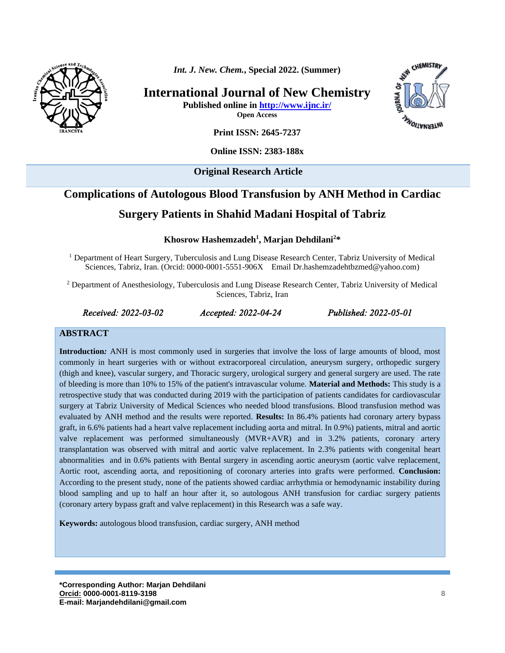

*Int. J. New. Chem.***, Special 2022. (Summer)**

**International Journal of New Chemistry**

**Published online in<http://www.ijnc.ir/> Open Access**



**Print ISSN: 2645-7237**

**Online ISSN: 2383-188x** 

**Original Research Article** 

# **Complications of Autologous Blood Transfusion by ANH Method in Cardiac Surgery Patients in Shahid Madani Hospital of Tabriz**

**Khosrow Hashemzadeh<sup>1</sup> , Marjan Dehdilani 2\***

<sup>1</sup> Department of Heart Surgery, Tuberculosis and Lung Disease Research Center, Tabriz University of Medical Sciences, Tabriz, Iran. (Orcid: 0000-0001-5551-906X Email [Dr.hashemzadehtbzmed@yahoo.com\)](mailto:Dr.hashemzadehtbzmed@yahoo.com)

<sup>2</sup> Department of Anesthesiology, Tuberculosis and Lung Disease Research Center, Tabriz University of Medical Sciences, Tabriz, Iran

*Received: 2022-03-02 Accepted: 2022-04-24 Published: 2022-05-01* 

#### **ABSTRACT**

**Introduction***:* ANH is most commonly used in surgeries that involve the loss of large amounts of blood, most commonly in heart surgeries with or without extracorporeal circulation, aneurysm surgery, orthopedic surgery (thigh and knee), vascular surgery, and Thoracic surgery, urological surgery and general surgery are used. The rate of bleeding is more than 10% to 15% of the patient's intravascular volume. **Material and Methods:** This study is a retrospective study that was conducted during 2019 with the participation of patients candidates for cardiovascular surgery at Tabriz University of Medical Sciences who needed blood transfusions. Blood transfusion method was evaluated by ANH method and the results were reported. **Results:** In 86.4% patients had coronary artery bypass graft, in 6.6% patients had a heart valve replacement including aorta and mitral. In 0.9%) patients, mitral and aortic valve replacement was performed simultaneously (MVR+AVR) and in 3.2% patients, coronary artery transplantation was observed with mitral and aortic valve replacement. In 2.3% patients with congenital heart abnormalities and in 0.6% patients with Bental surgery in ascending aortic aneurysm (aortic valve replacement, Aortic root, ascending aorta, and repositioning of coronary arteries into grafts were performed. **Conclusion:** According to the present study, none of the patients showed cardiac arrhythmia or hemodynamic instability during blood sampling and up to half an hour after it, so autologous ANH transfusion for cardiac surgery patients (coronary artery bypass graft and valve replacement) in this Research was a safe way.

**Keywords:** autologous blood transfusion, cardiac surgery, ANH method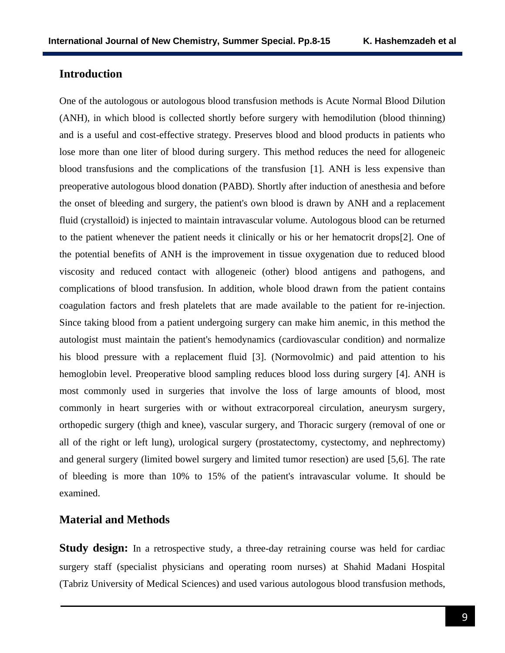# **Introduction**

One of the autologous or autologous blood transfusion methods is Acute Normal Blood Dilution (ANH), in which blood is collected shortly before surgery with hemodilution (blood thinning) and is a useful and cost-effective strategy. Preserves blood and blood products in patients who lose more than one liter of blood during surgery. This method reduces the need for allogeneic blood transfusions and the complications of the transfusion [1]. ANH is less expensive than preoperative autologous blood donation (PABD). Shortly after induction of anesthesia and before the onset of bleeding and surgery, the patient's own blood is drawn by ANH and a replacement fluid (crystalloid) is injected to maintain intravascular volume. Autologous blood can be returned to the patient whenever the patient needs it clinically or his or her hematocrit drops[2]. One of the potential benefits of ANH is the improvement in tissue oxygenation due to reduced blood viscosity and reduced contact with allogeneic (other) blood antigens and pathogens, and complications of blood transfusion. In addition, whole blood drawn from the patient contains coagulation factors and fresh platelets that are made available to the patient for re-injection. Since taking blood from a patient undergoing surgery can make him anemic, in this method the autologist must maintain the patient's hemodynamics (cardiovascular condition) and normalize his blood pressure with a replacement fluid [3]. (Normovolmic) and paid attention to his hemoglobin level. Preoperative blood sampling reduces blood loss during surgery [4]. ANH is most commonly used in surgeries that involve the loss of large amounts of blood, most commonly in heart surgeries with or without extracorporeal circulation, aneurysm surgery, orthopedic surgery (thigh and knee), vascular surgery, and Thoracic surgery (removal of one or all of the right or left lung), urological surgery (prostatectomy, cystectomy, and nephrectomy) and general surgery (limited bowel surgery and limited tumor resection) are used [5,6]. The rate of bleeding is more than 10% to 15% of the patient's intravascular volume. It should be examined.

#### **Material and Methods**

**Study design:** In a retrospective study, a three-day retraining course was held for cardiac surgery staff (specialist physicians and operating room nurses) at Shahid Madani Hospital (Tabriz University of Medical Sciences) and used various autologous blood transfusion methods,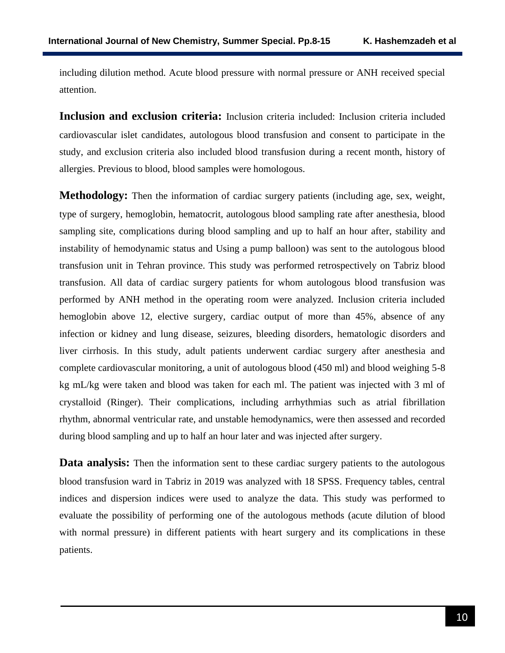including dilution method. Acute blood pressure with normal pressure or ANH received special attention.

**Inclusion and exclusion criteria:** Inclusion criteria included: Inclusion criteria included cardiovascular islet candidates, autologous blood transfusion and consent to participate in the study, and exclusion criteria also included blood transfusion during a recent month, history of allergies. Previous to blood, blood samples were homologous.

**Methodology:** Then the information of cardiac surgery patients (including age, sex, weight, type of surgery, hemoglobin, hematocrit, autologous blood sampling rate after anesthesia, blood sampling site, complications during blood sampling and up to half an hour after, stability and instability of hemodynamic status and Using a pump balloon) was sent to the autologous blood transfusion unit in Tehran province. This study was performed retrospectively on Tabriz blood transfusion. All data of cardiac surgery patients for whom autologous blood transfusion was performed by ANH method in the operating room were analyzed. Inclusion criteria included hemoglobin above 12, elective surgery, cardiac output of more than 45%, absence of any infection or kidney and lung disease, seizures, bleeding disorders, hematologic disorders and liver cirrhosis. In this study, adult patients underwent cardiac surgery after anesthesia and complete cardiovascular monitoring, a unit of autologous blood (450 ml) and blood weighing 5-8 kg mL/kg were taken and blood was taken for each ml. The patient was injected with 3 ml of crystalloid (Ringer). Their complications, including arrhythmias such as atrial fibrillation rhythm, abnormal ventricular rate, and unstable hemodynamics, were then assessed and recorded during blood sampling and up to half an hour later and was injected after surgery.

**Data analysis:** Then the information sent to these cardiac surgery patients to the autologous blood transfusion ward in Tabriz in 2019 was analyzed with 18 SPSS. Frequency tables, central indices and dispersion indices were used to analyze the data. This study was performed to evaluate the possibility of performing one of the autologous methods (acute dilution of blood with normal pressure) in different patients with heart surgery and its complications in these patients.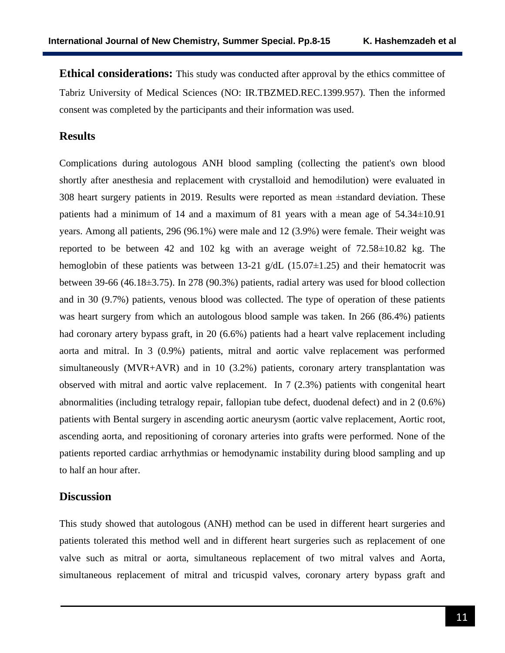**Ethical considerations:** This study was conducted after approval by the ethics committee of Tabriz University of Medical Sciences (NO: [IR.TBZMED.REC.1399.957\)](http://ethics.research.ac.ir/IR.TBZMED.REC.1399.957). Then the informed consent was completed by the participants and their information was used.

# **Results**

Complications during autologous ANH blood sampling (collecting the patient's own blood shortly after anesthesia and replacement with crystalloid and hemodilution) were evaluated in 308 heart surgery patients in 2019. Results were reported as mean ±standard deviation. These patients had a minimum of 14 and a maximum of 81 years with a mean age of 54.34±10.91 years. Among all patients, 296 (96.1%) were male and 12 (3.9%) were female. Their weight was reported to be between 42 and 102 kg with an average weight of 72.58±10.82 kg. The hemoglobin of these patients was between 13-21  $g/dL$  (15.07 $\pm$ 1.25) and their hematocrit was between 39-66 (46.18±3.75). In 278 (90.3%) patients, radial artery was used for blood collection and in 30 (9.7%) patients, venous blood was collected. The type of operation of these patients was heart surgery from which an autologous blood sample was taken. In 266 (86.4%) patients had coronary artery bypass graft, in 20 (6.6%) patients had a heart valve replacement including aorta and mitral. In 3 (0.9%) patients, mitral and aortic valve replacement was performed simultaneously (MVR+AVR) and in 10 (3.2%) patients, coronary artery transplantation was observed with mitral and aortic valve replacement. In 7 (2.3%) patients with congenital heart abnormalities (including tetralogy repair, fallopian tube defect, duodenal defect) and in 2 (0.6%) patients with Bental surgery in ascending aortic aneurysm (aortic valve replacement, Aortic root, ascending aorta, and repositioning of coronary arteries into grafts were performed. None of the patients reported cardiac arrhythmias or hemodynamic instability during blood sampling and up to half an hour after.

#### **Discussion**

This study showed that autologous (ANH) method can be used in different heart surgeries and patients tolerated this method well and in different heart surgeries such as replacement of one valve such as mitral or aorta, simultaneous replacement of two mitral valves and Aorta, simultaneous replacement of mitral and tricuspid valves, coronary artery bypass graft and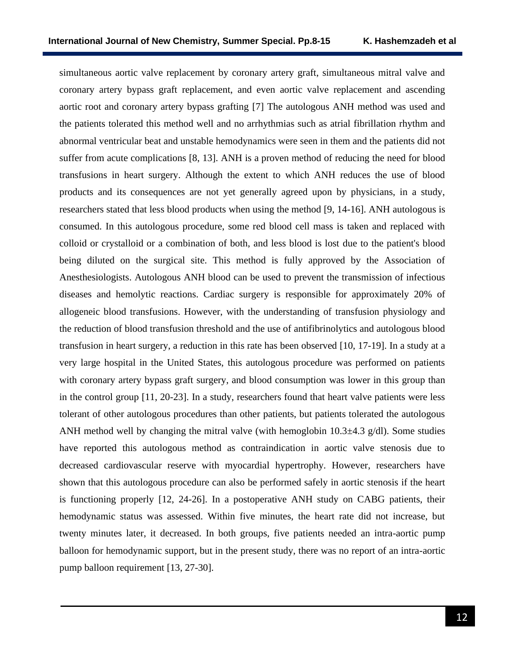simultaneous aortic valve replacement by coronary artery graft, simultaneous mitral valve and coronary artery bypass graft replacement, and even aortic valve replacement and ascending aortic root and coronary artery bypass grafting [7] The autologous ANH method was used and the patients tolerated this method well and no arrhythmias such as atrial fibrillation rhythm and abnormal ventricular beat and unstable hemodynamics were seen in them and the patients did not suffer from acute complications [8, 13]. ANH is a proven method of reducing the need for blood transfusions in heart surgery. Although the extent to which ANH reduces the use of blood products and its consequences are not yet generally agreed upon by physicians, in a study, researchers stated that less blood products when using the method [9, 14-16]. ANH autologous is consumed. In this autologous procedure, some red blood cell mass is taken and replaced with colloid or crystalloid or a combination of both, and less blood is lost due to the patient's blood being diluted on the surgical site. This method is fully approved by the Association of Anesthesiologists. Autologous ANH blood can be used to prevent the transmission of infectious diseases and hemolytic reactions. Cardiac surgery is responsible for approximately 20% of allogeneic blood transfusions. However, with the understanding of transfusion physiology and the reduction of blood transfusion threshold and the use of antifibrinolytics and autologous blood transfusion in heart surgery, a reduction in this rate has been observed [10, 17-19]. In a study at a very large hospital in the United States, this autologous procedure was performed on patients with coronary artery bypass graft surgery, and blood consumption was lower in this group than in the control group [11, 20-23]. In a study, researchers found that heart valve patients were less tolerant of other autologous procedures than other patients, but patients tolerated the autologous ANH method well by changing the mitral valve (with hemoglobin  $10.3\pm4.3$  g/dl). Some studies have reported this autologous method as contraindication in aortic valve stenosis due to decreased cardiovascular reserve with myocardial hypertrophy. However, researchers have shown that this autologous procedure can also be performed safely in aortic stenosis if the heart is functioning properly [12, 24-26]. In a postoperative ANH study on CABG patients, their hemodynamic status was assessed. Within five minutes, the heart rate did not increase, but twenty minutes later, it decreased. In both groups, five patients needed an intra-aortic pump balloon for hemodynamic support, but in the present study, there was no report of an intra-aortic pump balloon requirement [13, 27-30].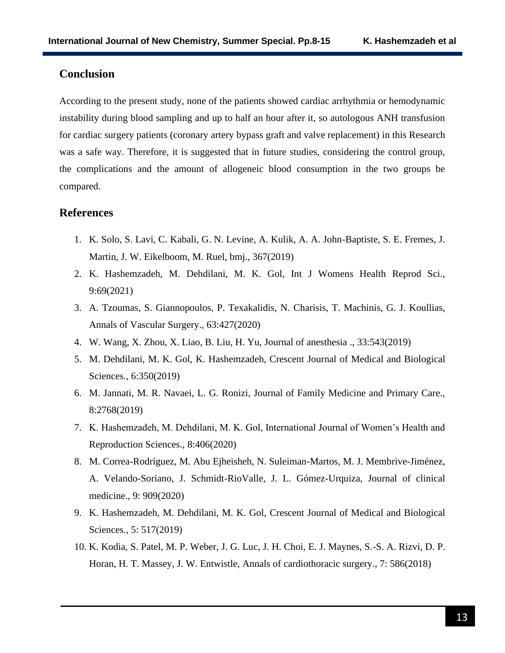# **Conclusion**

According to the present study, none of the patients showed cardiac arrhythmia or hemodynamic instability during blood sampling and up to half an hour after it, so autologous ANH transfusion for cardiac surgery patients (coronary artery bypass graft and valve replacement) in this Research was a safe way. Therefore, it is suggested that in future studies, considering the control group, the complications and the amount of allogeneic blood consumption in the two groups be compared.

### **References**

- 1. K. Solo, S. Lavi, C. Kabali, G. N. Levine, A. Kulik, A. A. John-Baptiste, S. E. Fremes, J. Martin, J. W. Eikelboom, M. Ruel, bmj., 367(2019)
- 2. K. Hashemzadeh, M. Dehdilani, M. K. Gol, Int J Womens Health Reprod Sci., 9:69(2021)
- 3. A. Tzoumas, S. Giannopoulos, P. Texakalidis, N. Charisis, T. Machinis, G. J. Koullias, Annals of Vascular Surgery., 63:427(2020)
- 4. W. Wang, X. Zhou, X. Liao, B. Liu, H. Yu, Journal of anesthesia ., 33:543(2019)
- 5. M. Dehdilani, M. K. Gol, K. Hashemzadeh, Crescent Journal of Medical and Biological Sciences., 6:350(2019)
- 6. M. Jannati, M. R. Navaei, L. G. Ronizi, Journal of Family Medicine and Primary Care., 8:2768(2019)
- 7. K. Hashemzadeh, M. Dehdilani, M. K. Gol, International Journal of Women's Health and Reproduction Sciences., 8:406(2020)
- 8. M. Correa-Rodríguez, M. Abu Ejheisheh, N. Suleiman-Martos, M. J. Membrive-Jiménez, A. Velando-Soriano, J. Schmidt-RioValle, J. L. Gómez-Urquiza, Journal of clinical medicine., 9: 909(2020)
- 9. K. Hashemzadeh, M. Dehdilani, M. K. Gol, Crescent Journal of Medical and Biological Sciences., 5: 517(2019)
- 10. K. Kodia, S. Patel, M. P. Weber, J. G. Luc, J. H. Choi, E. J. Maynes, S.-S. A. Rizvi, D. P. Horan, H. T. Massey, J. W. Entwistle, Annals of cardiothoracic surgery., 7: 586(2018)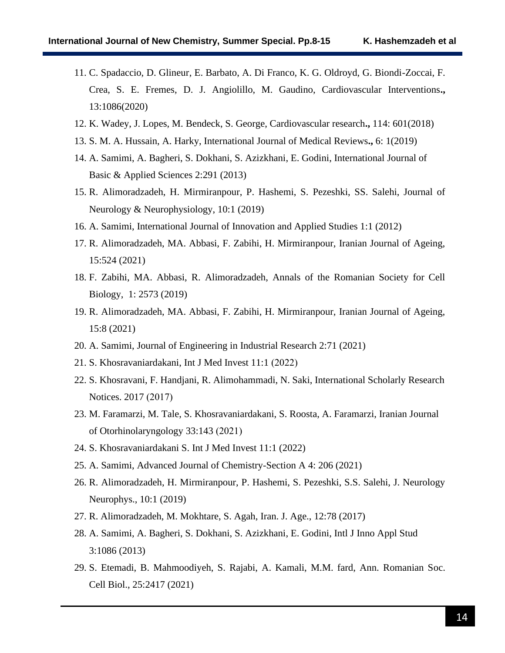- 11. C. Spadaccio, D. Glineur, E. Barbato, A. Di Franco, K. G. Oldroyd, G. Biondi-Zoccai, F. Crea, S. E. Fremes, D. J. Angiolillo, M. Gaudino, Cardiovascular Interventions**.,** 13:1086(2020)
- 12. K. Wadey, J. Lopes, M. Bendeck, S. George, Cardiovascular research**.,** 114: 601(2018)
- 13. S. M. A. Hussain, A. Harky, International Journal of Medical Reviews**.,** 6: 1(2019)
- 14. A. Samimi, A. Bagheri, S. Dokhani, S. Azizkhani, E. Godini, International Journal of Basic & Applied Sciences 2:291 (2013)
- 15. R. Alimoradzadeh, H. Mirmiranpour, P. Hashemi, S. Pezeshki, SS. Salehi, Journal of Neurology & Neurophysiology, 10:1 (2019)
- 16. A. Samimi, International Journal of Innovation and Applied Studies 1:1 (2012)
- 17. R. Alimoradzadeh, MA. Abbasi, F. Zabihi, H. Mirmiranpour, Iranian Journal of Ageing, 15:524 (2021)
- 18. F. Zabihi, MA. Abbasi, R. Alimoradzadeh, Annals of the Romanian Society for Cell Biology, 1: 2573 (2019)
- 19. R. Alimoradzadeh, MA. Abbasi, F. Zabihi, H. Mirmiranpour, Iranian Journal of Ageing, 15:8 (2021)
- 20. A. Samimi, Journal of Engineering in Industrial Research 2:71 (2021)
- 21. S. Khosravaniardakani, Int J Med Invest 11:1 (2022)
- 22. S. Khosravani, F. Handjani, R. Alimohammadi, N. Saki, International Scholarly Research Notices. 2017 (2017)
- 23. M. Faramarzi, M. Tale, S. Khosravaniardakani, S. Roosta, A. Faramarzi, Iranian Journal of Otorhinolaryngology  $33:143$  (2021)
- 24. S. Khosravaniardakani S. Int J Med Invest 11:1 (2022)
- 25. A. Samimi, Advanced Journal of Chemistry-Section A 4: 206 (2021)
- 26. R. Alimoradzadeh, H. Mirmiranpour, P. Hashemi, S. Pezeshki, S.S. Salehi, J. Neurology Neurophys., 10:1 (2019)
- 27. R. Alimoradzadeh, M. Mokhtare, S. Agah, Iran. J. Age., 12:78 (2017)
- 28. A. Samimi, A. Bagheri, S. Dokhani, S. Azizkhani, E. Godini, Intl J Inno Appl Stud 3:1086 (2013)
- 29. S. Etemadi, B. Mahmoodiyeh, S. Rajabi, A. Kamali, M.M. fard, Ann. Romanian Soc. Cell Biol., 25:2417 (2021)